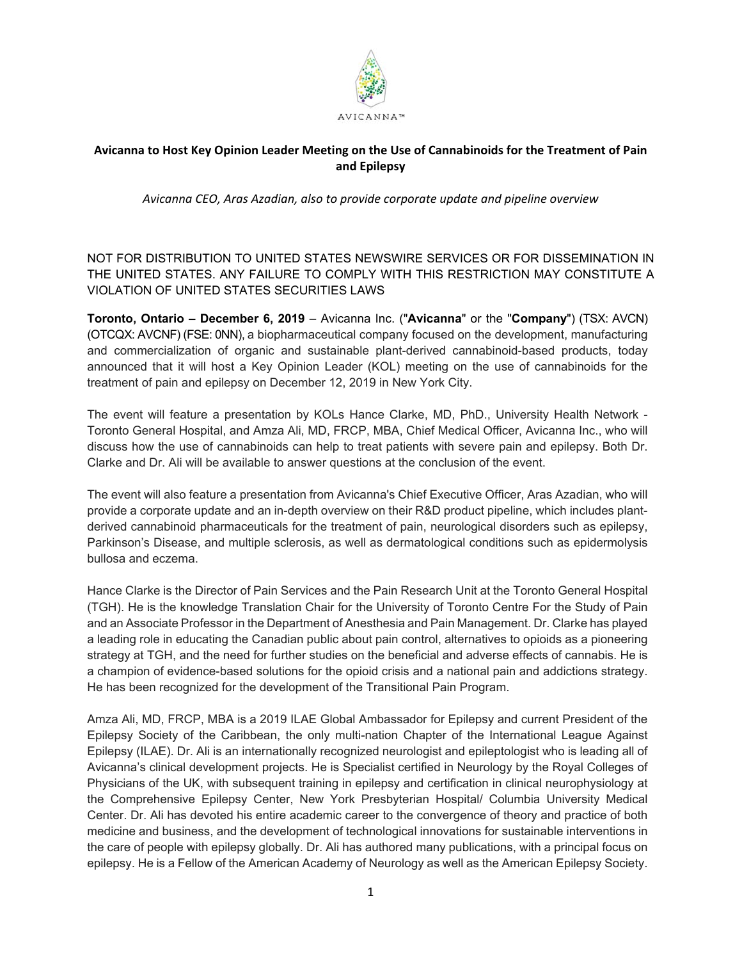

## **Avicanna to Host Key Opinion Leader Meeting on the Use of Cannabinoids for the Treatment of Pain and Epilepsy**

*Avicanna CEO, Aras Azadian, also to provide corporate update and pipeline overview* 

NOT FOR DISTRIBUTION TO UNITED STATES NEWSWIRE SERVICES OR FOR DISSEMINATION IN THE UNITED STATES. ANY FAILURE TO COMPLY WITH THIS RESTRICTION MAY CONSTITUTE A VIOLATION OF UNITED STATES SECURITIES LAWS

**Toronto, Ontario – December 6, 2019** – Avicanna Inc. ("**Avicanna**" or the "**Company**") (TSX: AVCN) (OTCQX: AVCNF) (FSE: 0NN), a biopharmaceutical company focused on the development, manufacturing and commercialization of organic and sustainable plant-derived cannabinoid-based products, today announced that it will host a Key Opinion Leader (KOL) meeting on the use of cannabinoids for the treatment of pain and epilepsy on December 12, 2019 in New York City.

The event will feature a presentation by KOLs Hance Clarke, MD, PhD., University Health Network - Toronto General Hospital, and Amza Ali, MD, FRCP, MBA, Chief Medical Officer, Avicanna Inc., who will discuss how the use of cannabinoids can help to treat patients with severe pain and epilepsy. Both Dr. Clarke and Dr. Ali will be available to answer questions at the conclusion of the event.

The event will also feature a presentation from Avicanna's Chief Executive Officer, Aras Azadian, who will provide a corporate update and an in-depth overview on their R&D product pipeline, which includes plantderived cannabinoid pharmaceuticals for the treatment of pain, neurological disorders such as epilepsy, Parkinson's Disease, and multiple sclerosis, as well as dermatological conditions such as epidermolysis bullosa and eczema.

Hance Clarke is the Director of Pain Services and the Pain Research Unit at the Toronto General Hospital (TGH). He is the knowledge Translation Chair for the University of Toronto Centre For the Study of Pain and an Associate Professor in the Department of Anesthesia and Pain Management. Dr. Clarke has played a leading role in educating the Canadian public about pain control, alternatives to opioids as a pioneering strategy at TGH, and the need for further studies on the beneficial and adverse effects of cannabis. He is a champion of evidence-based solutions for the opioid crisis and a national pain and addictions strategy. He has been recognized for the development of the Transitional Pain Program.

Amza Ali, MD, FRCP, MBA is a 2019 ILAE Global Ambassador for Epilepsy and current President of the Epilepsy Society of the Caribbean, the only multi-nation Chapter of the International League Against Epilepsy (ILAE). Dr. Ali is an internationally recognized neurologist and epileptologist who is leading all of Avicanna's clinical development projects. He is Specialist certified in Neurology by the Royal Colleges of Physicians of the UK, with subsequent training in epilepsy and certification in clinical neurophysiology at the Comprehensive Epilepsy Center, New York Presbyterian Hospital/ Columbia University Medical Center. Dr. Ali has devoted his entire academic career to the convergence of theory and practice of both medicine and business, and the development of technological innovations for sustainable interventions in the care of people with epilepsy globally. Dr. Ali has authored many publications, with a principal focus on epilepsy. He is a Fellow of the American Academy of Neurology as well as the American Epilepsy Society.